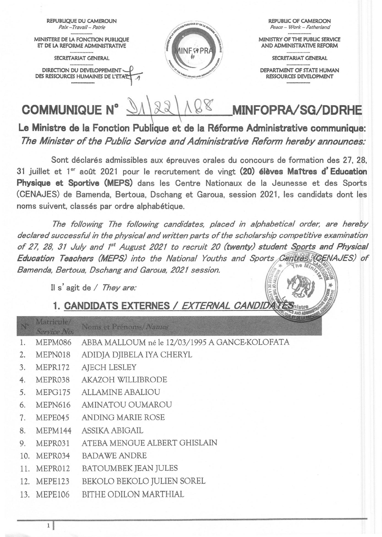

Le Ministre de la Fonction Publique et de la Réforme Administrative communique: The Minister of the Public Service and Administrative Reform hereby announces:

Sont déclarés admissibles aux épreuves orales du concours de formation des 27, 28. 31 juillet et 1<sup>er</sup> août 2021 pour le recrutement de vingt (20) élèves Maîtres d'Education Physique et Sportive (MEPS) dans les Centre Nationaux de la Jeunesse et des Sports (CENAJES) de Bamenda, Bertoua, Dschang et Garoua, session 2021, les candidats dont les noms suivent, classés par ordre alphabétique.

The following The following candidates, placed in alphabetical order, are hereby declared successful in the physical and written parts of the scholarship competitive examination of 27, 28, 31 July and 1<sup>st</sup> August 2021 to recruit 20 (twenty) student Sports and Physical Education Teachers (MEPS) into the National Youths and Sports Centres (CENAJES) of Bamenda, Bertoua, Dschang and Garoua, 2021 session. င္ခြဋ္

Il s'agit de / They are:

## 1. CANDIDATS EXTERNES / EXTERNAL CANDIDATE AND AD

| N°  | <b><i>IVIALITIC LIET</i></b><br>Service No. | Noms et Prénoms/Names                          |
|-----|---------------------------------------------|------------------------------------------------|
| 1.  | MEPM086                                     | ABBA MALLOUM né le 12/03/1995 A GANCE-KOLOFATA |
| 2.  | MEPN018                                     | ADIDJA DJIBELA IYA CHERYL                      |
| 3.  | MEPR172                                     | <b>AJECH LESLEY</b>                            |
| 4.  | MEPR038                                     | <b>AKAZOH WILLIBRODE</b>                       |
| 5.  | MEPG175                                     | <b>ALLAMINE ABALIOU</b>                        |
| 6.  | MEPN616                                     | AMINATOU OUMAROU                               |
| 7.  | MEPE045                                     | ANDING MARIE ROSE                              |
| 8.  | MEPM144                                     | ASSIKA ABIGAIL                                 |
| 9.  | MEPR031                                     | ATEBA MENGUE ALBERT GHISLAIN                   |
| 10. | MEPR034                                     | <b>BADAWE ANDRE</b>                            |
| 11. | MEPR012                                     | <b>BATOUMBEK JEAN JULES</b>                    |
|     | 12. MEPE123                                 | BEKOLO BEKOLO JULIEN SOREL                     |
|     | 13. MEPE106                                 | BITHE ODILON MARTHIAL                          |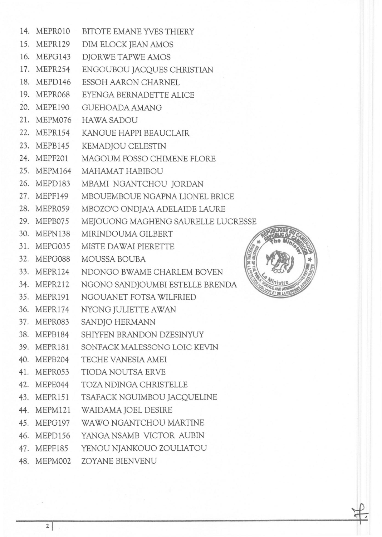|     | 14. MEPR010 | <b>BITOTE EMANE YVES THIERY</b>                   |  |
|-----|-------------|---------------------------------------------------|--|
|     | 15. MEPR129 | DIM ELOCK JEAN AMOS                               |  |
|     | 16. MEPG143 | DJORWE TAPWE AMOS                                 |  |
|     | 17. MEPR254 | ENGOUBOU JACQUES CHRISTIAN                        |  |
|     | 18. MEPD146 | ESSOH AARON CHARNEL                               |  |
|     | 19. MEPR068 | EYENGA BERNADETTE ALICE                           |  |
|     | 20. MEPE190 | <b>GUEHOADA AMANG</b>                             |  |
|     | 21. MEPM076 | <b>HAWA SADOU</b>                                 |  |
|     | 22. MEPR154 | KANGUE HAPPI BEAUCLAIR                            |  |
|     | 23. MEPB145 | KEMADJOU CELESTIN                                 |  |
|     | 24. MEPF201 | MAGOUM FOSSO CHIMENE FLORE                        |  |
|     | 25. MEPM164 | MAHAMAT HABIBOU                                   |  |
|     | 26. MEPD183 | MBAMI NGANTCHOU JORDAN                            |  |
|     | 27. MEPF149 | MBOUEMBOUE NGAPNA LIONEL BRICE                    |  |
|     | 28. MEPR059 | MBOZO'O ONDJA'A ADELAIDE LAURE                    |  |
|     | 29. MEPB075 | MEJOUONG MAGHENG SAURELLE LUCRESSE                |  |
|     | 30. MEPN138 | MIRINDOUMA GILBERT                                |  |
|     | 31. MEPG035 | MISTE DAWAI PIERETTE                              |  |
|     | 32. MEPG088 | <b>MINISTRIE DE LA FOUS</b><br>MOUSSA BOUBA       |  |
|     | 33. MEPR124 | NDONGO BWAME CHARLEM BOVEN                        |  |
|     | 34. MEPR212 | NGONO SANDJOUMBI ESTELLE BRENDA<br>SERVICE AND AN |  |
|     | 35. MEPR191 | NGOUANET FOTSA WILFRIED                           |  |
|     | 36. MEPR174 | NYONG JULIETTE AWAN                               |  |
| 37. | MEPR083     | SANDJO HERMANN                                    |  |
|     | 38. MEPB184 | SHIYFEN BRANDON DZESINYUY                         |  |
|     | 39. MEPR181 | SONFACK MALESSONG LOIC KEVIN                      |  |
|     | 40. MEPB204 | TECHE VANESIA AMEI                                |  |
|     | 41. MEPR053 | TIODA NOUTSA ERVE                                 |  |
|     | 42. MEPE044 | TOZA NDINGA CHRISTELLE                            |  |
|     | 43. MEPR151 | TSAFACK NGUIMBOU JACQUELINE                       |  |
|     | 44. MEPM121 | WAIDAMA JOEL DESIRE                               |  |
|     | 45. MEPG197 | WAWO NGANTCHOU MARTINE                            |  |
|     | 46. MEPD156 | YANGA NSAMB VICTOR AUBIN                          |  |
|     | 47. MEPF185 | YENOU NJANKOUO ZOULIATOU                          |  |
|     | 48. MEPM002 | ZOYANE BIENVENU                                   |  |

**CREASED # NO**